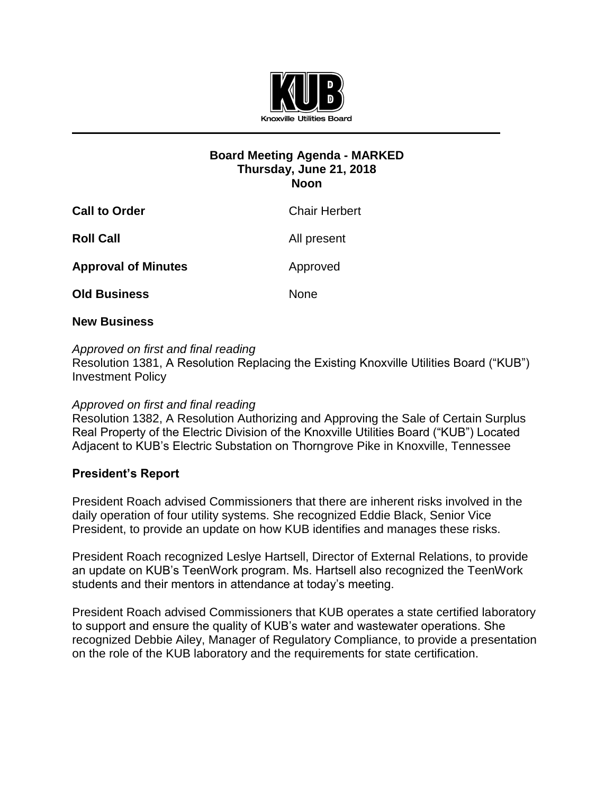

## **Board Meeting Agenda - MARKED Thursday, June 21, 2018 Noon**

| <b>Chair Herbert</b> |
|----------------------|
| All present          |
|                      |
|                      |
| Approved             |

## **New Business**

#### *Approved on first and final reading*

Resolution 1381, A Resolution Replacing the Existing Knoxville Utilities Board ("KUB") Investment Policy

#### *Approved on first and final reading*

Resolution 1382, A Resolution Authorizing and Approving the Sale of Certain Surplus Real Property of the Electric Division of the Knoxville Utilities Board ("KUB") Located Adjacent to KUB's Electric Substation on Thorngrove Pike in Knoxville, Tennessee

# **President's Report**

President Roach advised Commissioners that there are inherent risks involved in the daily operation of four utility systems. She recognized Eddie Black, Senior Vice President, to provide an update on how KUB identifies and manages these risks.

President Roach recognized Leslye Hartsell, Director of External Relations, to provide an update on KUB's TeenWork program. Ms. Hartsell also recognized the TeenWork students and their mentors in attendance at today's meeting.

President Roach advised Commissioners that KUB operates a state certified laboratory to support and ensure the quality of KUB's water and wastewater operations. She recognized Debbie Ailey, Manager of Regulatory Compliance, to provide a presentation on the role of the KUB laboratory and the requirements for state certification.